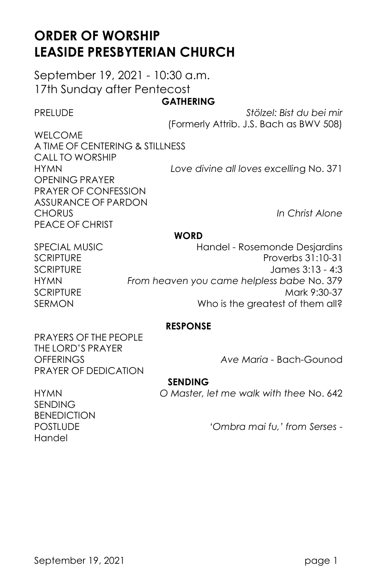# **ORDER OF WORSHIP LEASIDE PRESBYTERIAN CHURCH**

September 19, 2021 - 10:30 a.m. 17th Sunday after Pentecost

# **GATHERING**

PRELUDE *Stölzel: Bist du bei mir*  (Formerly Attrib. J.S. Bach as BWV 508)

WELCOME A TIME OF CENTERING & STILLNESS CALL TO WORSHIP OPENING PRAYER PRAYER OF CONFESSION ASSURANCE OF PARDON CHORUS *In Christ Alone* PEACE OF CHRIST

HYMN *Love divine all loves excellin*g No. 371

#### **WORD**

SPECIAL MUSIC **Handel - Rosemonde Desjardins** SCRIPTURE **Proverbs 31:10-31** SCRIPTURE James 3:13 - 4:3 HYMN *From heaven you came helpless babe* No. 379 SCRIPTURE Mark 9:30-37 SERMON Who is the greatest of them all?

# **RESPONSE**

PRAYERS OF THE PEOPLE THE LORD'S PRAYER PRAYER OF DEDICATION

OFFERINGS *Ave Maria -* Bach-Gounod

## **SENDING**

HYMN *O Master, let me walk with thee* No. 642

SENDING **BENEDICTION** Handel

POSTLUDE *'Ombra mai fu,' from Serses* -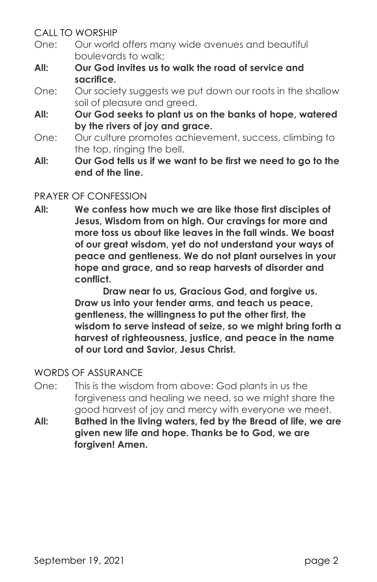CALL TO WORSHIP

- One: Our world offers many wide avenues and beautiful boulevards to walk;
- **All: Our God invites us to walk the road of service and sacrifice.**
- One: Our society suggests we put down our roots in the shallow soil of pleasure and greed.
- **All: Our God seeks to plant us on the banks of hope, watered by the rivers of joy and grace.**
- One: Our culture promotes achievement, success, climbing to the top, ringing the bell.
- **All: Our God tells us if we want to be first we need to go to the end of the line.**

# PRAYER OF CONFESSION

**All: We confess how much we are like those first disciples of Jesus, Wisdom from on high. Our cravings for more and more toss us about like leaves in the fall winds. We boast of our great wisdom, yet do not understand your ways of peace and gentleness. We do not plant ourselves in your hope and grace, and so reap harvests of disorder and conflict.**

> **Draw near to us, Gracious God, and forgive us. Draw us into your tender arms, and teach us peace, gentleness, the willingness to put the other first, the wisdom to serve instead of seize, so we might bring forth a harvest of righteousness, justice, and peace in the name of our Lord and Savior, Jesus Christ.**

# WORDS OF ASSURANCE

- One: This is the wisdom from above: God plants in us the forgiveness and healing we need, so we might share the good harvest of joy and mercy with everyone we meet.
- **All: Bathed in the living waters, fed by the Bread of life, we are given new life and hope. Thanks be to God, we are forgiven! Amen.**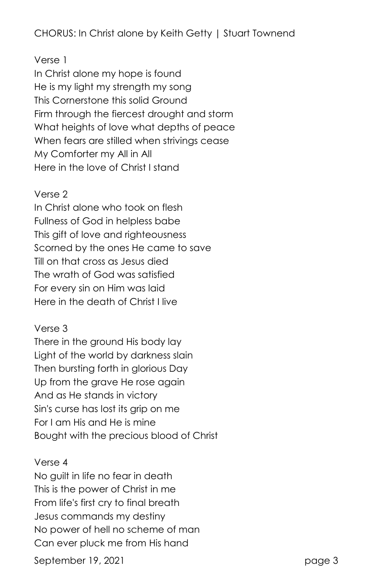# CHORUS: In Christ alone by Keith Getty | Stuart Townend

# Verse 1

In Christ alone my hope is found He is my light my strength my song This Cornerstone this solid Ground Firm through the fiercest drought and storm What heights of love what depths of peace When fears are stilled when strivings cease My Comforter my All in All Here in the love of Christ I stand

#### Verse 2

In Christ alone who took on flesh Fullness of God in helpless babe This gift of love and righteousness Scorned by the ones He came to save Till on that cross as Jesus died The wrath of God was satisfied For every sin on Him was laid Here in the death of Christ I live

## Verse 3

There in the ground His body lay Light of the world by darkness slain Then bursting forth in glorious Day Up from the grave He rose again And as He stands in victory Sin's curse has lost its grip on me For I am His and He is mine Bought with the precious blood of Christ

#### Verse 4

No guilt in life no fear in death This is the power of Christ in me From life's first cry to final breath Jesus commands my destiny No power of hell no scheme of man Can ever pluck me from His hand

September 19, 2021 **page 3**